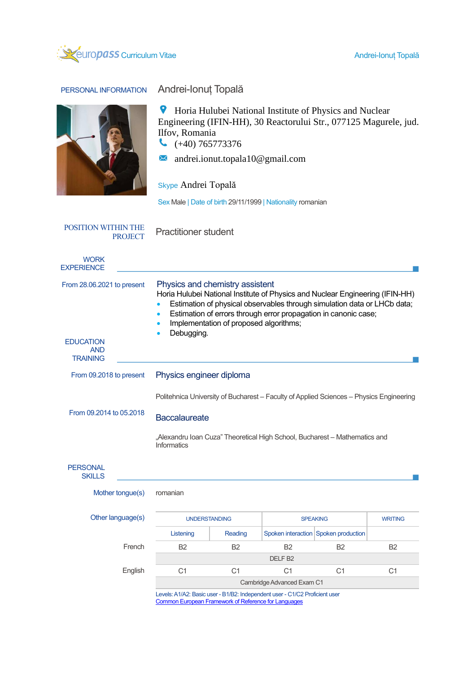

PERSONAL INFORMATION Andrei-Ionuț Topală

 $\bullet$  Horia Hulubei National Institute of Physics and Nuclear Engineering (IFIN-HH), 30 Reactorului Str., 077125 Magurele, jud. Ilfov, Romania

 $( +40) 765773376$ 

andrei.ionut.topala10@gmail.com  $\times$ 

Skype Andrei Topală

Sex Male | Date of birth 29/11/1999 | Nationality romanian

POSITION WITHIN THE

Practitioner student

| <b>WORK</b><br><b>EXPERIENCE</b>                                                |                                                                                                                                                                                                                                                                                                                                                   |                |                 |                                      |                |  |  |
|---------------------------------------------------------------------------------|---------------------------------------------------------------------------------------------------------------------------------------------------------------------------------------------------------------------------------------------------------------------------------------------------------------------------------------------------|----------------|-----------------|--------------------------------------|----------------|--|--|
| From 28.06.2021 to present<br><b>EDUCATION</b><br><b>AND</b><br><b>TRAINING</b> | Physics and chemistry assistent<br>Horia Hulubei National Institute of Physics and Nuclear Engineering (IFIN-HH)<br>Estimation of physical observables through simulation data or LHCb data;<br>Estimation of errors through error propagation in canonic case;<br>$\bullet$<br>Implementation of proposed algorithms;<br>$\bullet$<br>Debugging. |                |                 |                                      |                |  |  |
| From 09.2018 to present                                                         | Physics engineer diploma                                                                                                                                                                                                                                                                                                                          |                |                 |                                      |                |  |  |
| From 09.2014 to 05.2018                                                         | Politehnica University of Bucharest - Faculty of Applied Sciences - Physics Engineering<br><b>Baccalaureate</b><br>"Alexandru Ioan Cuza" Theoretical High School, Bucharest - Mathematics and<br><b>Informatics</b>                                                                                                                               |                |                 |                                      |                |  |  |
| <b>PERSONAL</b><br><b>SKILLS</b>                                                |                                                                                                                                                                                                                                                                                                                                                   |                |                 |                                      |                |  |  |
| Mother tongue(s)                                                                | romanian                                                                                                                                                                                                                                                                                                                                          |                |                 |                                      |                |  |  |
| Other language(s)                                                               | <b>UNDERSTANDING</b>                                                                                                                                                                                                                                                                                                                              |                | <b>SPEAKING</b> |                                      | <b>WRITING</b> |  |  |
|                                                                                 | Listening                                                                                                                                                                                                                                                                                                                                         | Reading        |                 | Spoken interaction Spoken production |                |  |  |
| French                                                                          | B <sub>2</sub>                                                                                                                                                                                                                                                                                                                                    | <b>B2</b>      | <b>B2</b>       | <b>B2</b>                            | <b>B2</b>      |  |  |
|                                                                                 | DELF <sub>B2</sub>                                                                                                                                                                                                                                                                                                                                |                |                 |                                      |                |  |  |
| English                                                                         | C <sub>1</sub>                                                                                                                                                                                                                                                                                                                                    | C <sub>1</sub> | C <sub>1</sub>  | C <sub>1</sub>                       | C <sub>1</sub> |  |  |
|                                                                                 | Cambridge Advanced Exam C1                                                                                                                                                                                                                                                                                                                        |                |                 |                                      |                |  |  |
|                                                                                 | Levels: A1/A2: Basic user - B1/B2: Independent user - C1/C2 Proficient user<br><b>Common European Framework of Reference for Languages</b>                                                                                                                                                                                                        |                |                 |                                      |                |  |  |